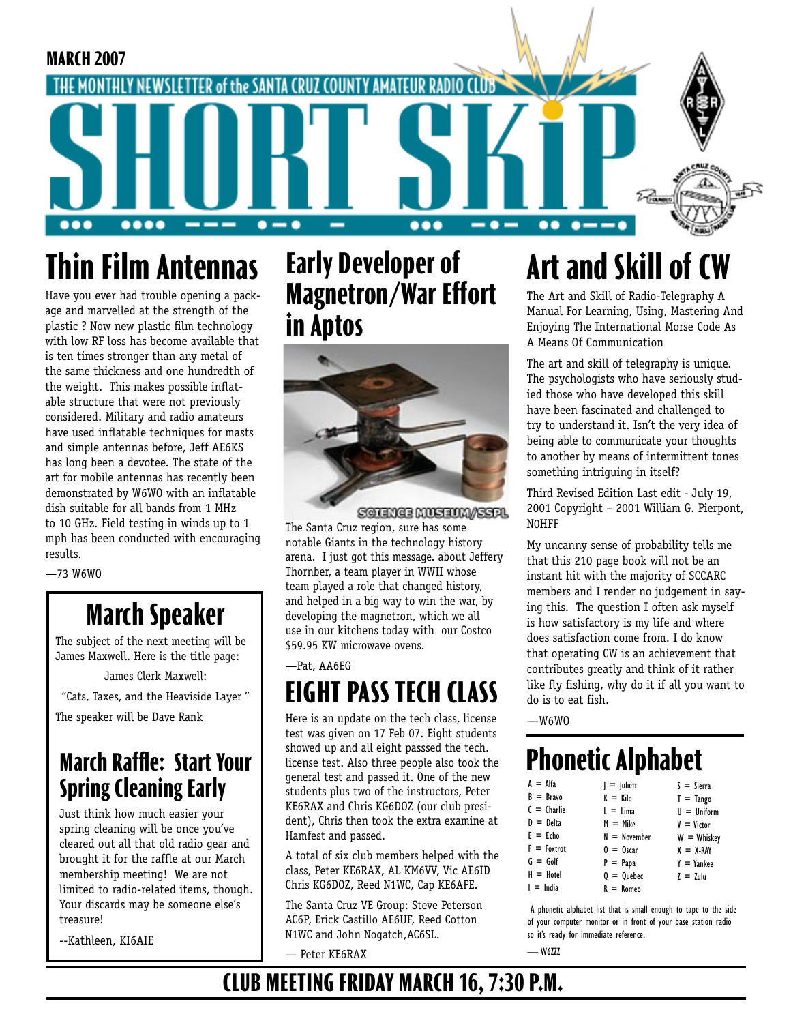

# **Thin Film Antennas**

Have you ever had trouble opening a package and marvelled at the strength of the plastic ? Now new plastic film technology with low RF loss has become available that is ten times stronger than any metal of the same thickness and one hundredth of the weight. This makes possible inflatable structure that were not previously considered. Military and radio amateurs have used inflatable techniques for masts and simple antennas before, Jeff AE6KS has long been a devotee. The state of the art for mobile antennas has recently been demonstrated by W6WO with an inflatable dish suitable for all bands from 1 MHz to 10 GHz. Field testing in winds up to 1 mph has been conducted with encouraging results.

—73 W6WO

# **March Speaker**

The subject of the next meeting will be James Maxwell. Here is the title page:

James Clerk Maxwell:

"Cats, Taxes, and the Heaviside Layer "

The speaker will be Dave Rank

### **March Raffle: Start Your Spring Cleaning Early**

Just think how much easier your spring cleaning will be once you've cleared out all that old radio gear and brought it for the raffle at our March membership meeting! We are not limited to radio-related items, though. Your discards may be someone else's treasure!

--Kathleen, KI6AIE

## **Early Developer of Magnetron/War Effort in Aptos**



SQIENGE MUSEUM/SSFL The Santa Cruz region, sure has some notable Giants in the technology history arena. I just got this message. about Jeffery Thornber, a team player in WWII whose team played a role that changed history, and helped in a big way to win the war, by developing the magnetron, which we all use in our kitchens today with our Costco \$59.95 KW microwave ovens.

—Pat, AA6EG

# **EIGHT PASS TECH CLASS**

Here is an update on the tech class, license test was given on 17 Feb 07. Eight students showed up and all eight passsed the tech. license test. Also three people also took the general test and passed it. One of the new students plus two of the instructors, Peter KE6RAX and Chris KG6DOZ (our club president), Chris then took the extra examine at Hamfest and passed.

A total of six club members helped with the class, Peter KE6RAX, AL KM6VV, Vic AE6ID Chris KG6DOZ, Reed N1WC, Cap KE6AFE.

The Santa Cruz VE Group: Steve Peterson AC6P, Erick Castillo AE6UF, Reed Cotton N1WC and John Nogatch,AC6SL.

**CLUB MEETING FRIDAY MARCH 16, 7:30 P.M.**

Peter KE6RAX

# **Art and Skill of CW**

The Art and Skill of Radio-Telegraphy A Manual For Learning, Using, Mastering And Enjoying The International Morse Code As A Means Of Communication

The art and skill of telegraphy is unique. The psychologists who have seriously studied those who have developed this skill have been fascinated and challenged to try to understand it. Isn't the very idea of being able to communicate your thoughts to another by means of intermittent tones something intriguing in itself?

Third Revised Edition Last edit - July 19, 2001 Copyright – 2001 William G. Pierpont, N0HFF

My uncanny sense of probability tells me that this 210 page book will not be an instant hit with the majority of SCCARC members and I render no judgement in saying this. The question I often ask myself is how satisfactory is my life and where does satisfaction come from. I do know that operating CW is an achievement that contributes greatly and think of it rather like fly fishing, why do it if all you want to do is to eat fish.

 $-W6WO$ 

# **Phonetic Alphabet**

| A = Alfa      | $\vert$ =  uliett | $S = Sierra$  |
|---------------|-------------------|---------------|
| $B = B$ ravo  | $K = Kilo$        | $T = Tango$   |
| $C =$ Charlie | $L = Lima$        | $U =$ Uniform |
| $D = Delta$   | $M =$ Mike        | $V = Victor$  |
| $E = Echo$    | $N = November$    | $W = Whiskey$ |
| $F =$ Foxtrot | $0 = 0$ scar      | $X = X-RAY$   |
| $G = G$ olf   | $P = Papa$        | $Y = Y$ ankee |
| $H = H$ otel  | $Q = Q$ uebec     | $I = I$ ulu   |
| $I = India$   | $R =$ Romeo       |               |

 A phonetic alphabet list that is small enough to tape to the side of your computer monitor or in front of your base station radio so it's ready for immediate reference.

 $-$  W6ZZZ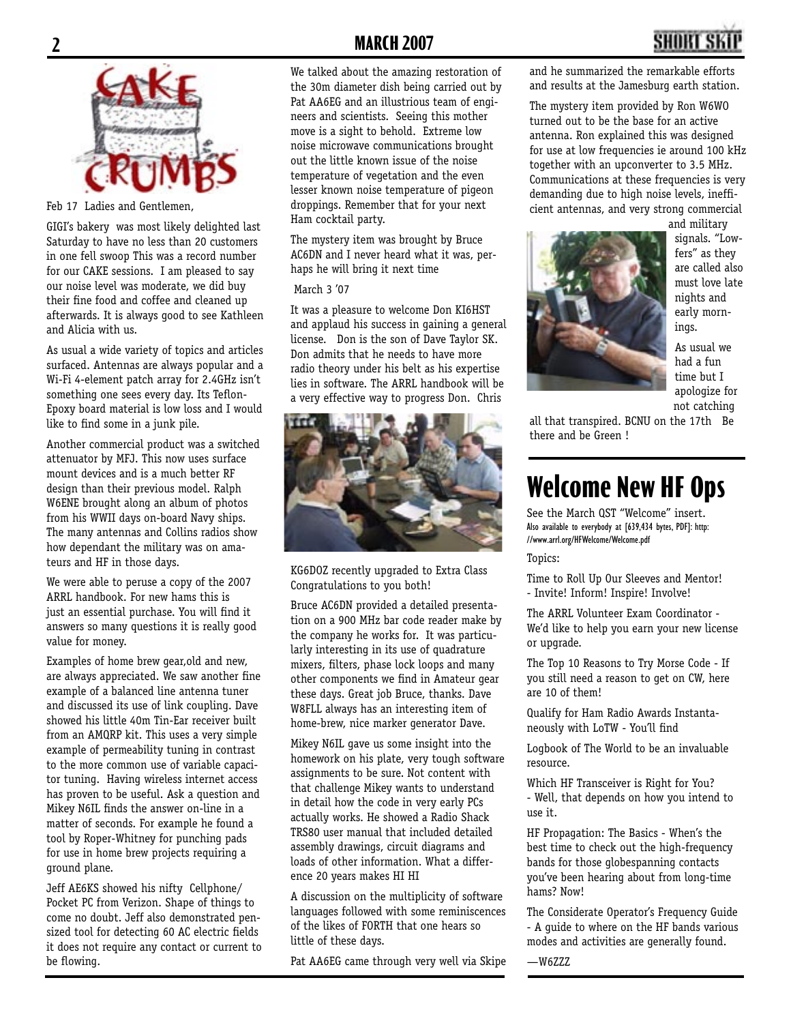

#### Feb 17 Ladies and Gentlemen,

GIGI's bakery was most likely delighted last Saturday to have no less than 20 customers in one fell swoop This was a record number for our CAKE sessions. I am pleased to say our noise level was moderate, we did buy their fine food and coffee and cleaned up afterwards. It is always good to see Kathleen and Alicia with us.

As usual a wide variety of topics and articles surfaced. Antennas are always popular and a Wi-Fi 4-element patch array for 2.4GHz isn't something one sees every day. Its Teflon-Epoxy board material is low loss and I would like to find some in a junk pile.

Another commercial product was a switched attenuator by MFJ. This now uses surface mount devices and is a much better RF design than their previous model. Ralph W6ENE brought along an album of photos from his WWII days on-board Navy ships. The many antennas and Collins radios show how dependant the military was on amateurs and HF in those days.

We were able to peruse a copy of the 2007 ARRL handbook. For new hams this is just an essential purchase. You will find it answers so many questions it is really good value for money.

Examples of home brew gear,old and new, are always appreciated. We saw another fine example of a balanced line antenna tuner and discussed its use of link coupling. Dave showed his little 40m Tin-Ear receiver built from an AMQRP kit. This uses a very simple example of permeability tuning in contrast to the more common use of variable capacitor tuning. Having wireless internet access has proven to be useful. Ask a question and Mikey N6IL finds the answer on-line in a matter of seconds. For example he found a tool by Roper-Whitney for punching pads for use in home brew projects requiring a ground plane.

Jeff AE6KS showed his nifty Cellphone/ Pocket PC from Verizon. Shape of things to come no doubt. Jeff also demonstrated pensized tool for detecting 60 AC electric fields it does not require any contact or current to be flowing.

We talked about the amazing restoration of the 30m diameter dish being carried out by Pat AA6EG and an illustrious team of engineers and scientists. Seeing this mother move is a sight to behold. Extreme low noise microwave communications brought out the little known issue of the noise temperature of vegetation and the even lesser known noise temperature of pigeon droppings. Remember that for your next Ham cocktail party.

The mystery item was brought by Bruce AC6DN and I never heard what it was, perhaps he will bring it next time

#### March 3 '07

It was a pleasure to welcome Don KI6HST and applaud his success in gaining a general license. Don is the son of Dave Taylor SK. Don admits that he needs to have more radio theory under his belt as his expertise lies in software. The ARRL handbook will be a very effective way to progress Don. Chris



KG6DOZ recently upgraded to Extra Class Congratulations to you both!

Bruce AC6DN provided a detailed presentation on a 900 MHz bar code reader make by the company he works for. It was particularly interesting in its use of quadrature mixers, filters, phase lock loops and many other components we find in Amateur gear these days. Great job Bruce, thanks. Dave W8FLL always has an interesting item of home-brew, nice marker generator Dave.

Mikey N6IL gave us some insight into the homework on his plate, very tough software assignments to be sure. Not content with that challenge Mikey wants to understand in detail how the code in very early PCs actually works. He showed a Radio Shack TRS80 user manual that included detailed assembly drawings, circuit diagrams and loads of other information. What a difference 20 years makes HI HI

A discussion on the multiplicity of software languages followed with some reminiscences of the likes of FORTH that one hears so little of these days.

Pat AA6EG came through very well via Skipe

## **2 MARCH 2007 3**

and he summarized the remarkable efforts and results at the Jamesburg earth station.

The mystery item provided by Ron W6WO turned out to be the base for an active antenna. Ron explained this was designed for use at low frequencies ie around 100 kHz together with an upconverter to 3.5 MHz. Communications at these frequencies is very demanding due to high noise levels, inefficient antennas, and very strong commercial



and military signals. "Lowfers" as they are called also must love late nights and early mornings.

As usual we had a fun time but I apologize for not catching

all that transpired. BCNU on the 17th Be there and be Green !

### **Welcome New HF Ops**

See the March QST "Welcome" insert. Also available to everybody at [639,434 bytes, PDF]: http: //www.arrl.org/HFWelcome/Welcome.pdf

Topics:

Time to Roll Up Our Sleeves and Mentor! - Invite! Inform! Inspire! Involve!

The ARRL Volunteer Exam Coordinator - We'd like to help you earn your new license or upgrade.

The Top 10 Reasons to Try Morse Code - If you still need a reason to get on CW, here are 10 of them!

Qualify for Ham Radio Awards Instantaneously with LoTW - You'll find

Logbook of The World to be an invaluable resource.

Which HF Transceiver is Right for You? - Well, that depends on how you intend to use it.

HF Propagation: The Basics - When's the best time to check out the high-frequency bands for those globespanning contacts you've been hearing about from long-time hams? Now!

The Considerate Operator's Frequency Guide - A guide to where on the HF bands various modes and activities are generally found.

—W6ZZZ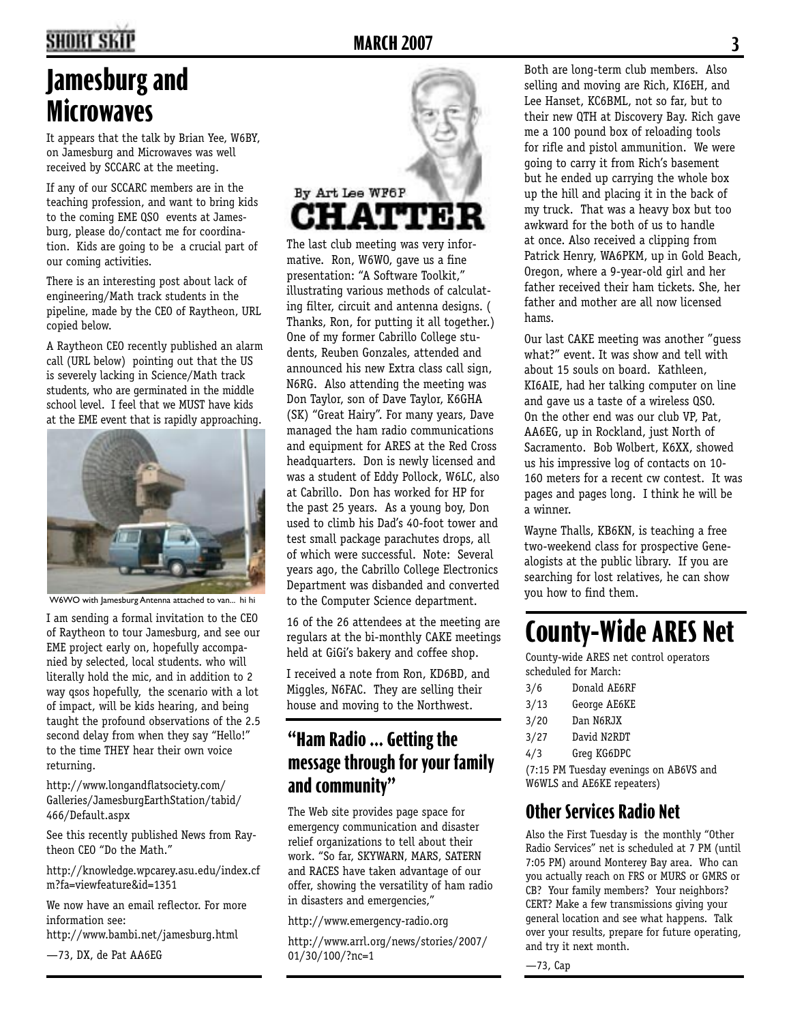## **2 MARCH 2007 3**

## **Jamesburg and Microwaves**

It appears that the talk by Brian Yee, W6BY, on Jamesburg and Microwaves was well received by SCCARC at the meeting.

If any of our SCCARC members are in the teaching profession, and want to bring kids to the coming EME QSO events at Jamesburg, please do/contact me for coordination. Kids are going to be a crucial part of our coming activities.

There is an interesting post about lack of engineering/Math track students in the pipeline, made by the CEO of Raytheon, URL copied below.

A Raytheon CEO recently published an alarm call (URL below) pointing out that the US is severely lacking in Science/Math track students, who are germinated in the middle school level. I feel that we MUST have kids at the EME event that is rapidly approaching.



W6WO with Jamesburg Antenna attached to van... hi hi

I am sending a formal invitation to the CEO of Raytheon to tour Jamesburg, and see our EME project early on, hopefully accompanied by selected, local students. who will literally hold the mic, and in addition to 2 way qsos hopefully, the scenario with a lot of impact, will be kids hearing, and being taught the profound observations of the 2.5 second delay from when they say "Hello!" to the time THEY hear their own voice returning.

http://www.longandflatsociety.com/ Galleries/JamesburgEarthStation/tabid/ 466/Default.aspx

See this recently published News from Raytheon CEO "Do the Math."

http://knowledge.wpcarey.asu.edu/index.cf m?fa=viewfeature&id=1351

We now have an email reflector. For more information see:

http://www.bambi.net/jamesburg.html

—73, DX, de Pat AA6EG



The last club meeting was very informative. Ron, W6WO, gave us a fine presentation: "A Software Toolkit," illustrating various methods of calculating filter, circuit and antenna designs. ( Thanks, Ron, for putting it all together.) One of my former Cabrillo College students, Reuben Gonzales, attended and announced his new Extra class call sign, N6RG. Also attending the meeting was Don Taylor, son of Dave Taylor, K6GHA (SK) "Great Hairy". For many years, Dave managed the ham radio communications and equipment for ARES at the Red Cross headquarters. Don is newly licensed and was a student of Eddy Pollock, W6LC, also at Cabrillo. Don has worked for HP for the past 25 years. As a young boy, Don used to climb his Dad's 40-foot tower and test small package parachutes drops, all of which were successful. Note: Several years ago, the Cabrillo College Electronics Department was disbanded and converted to the Computer Science department.

16 of the 26 attendees at the meeting are regulars at the bi-monthly CAKE meetings held at GiGi's bakery and coffee shop.

I received a note from Ron, KD6BD, and Miggles, N6FAC. They are selling their house and moving to the Northwest.

#### **"Ham Radio ... Getting the message through for your family and community"**

The Web site provides page space for emergency communication and disaster relief organizations to tell about their work. "So far, SKYWARN, MARS, SATERN and RACES have taken advantage of our offer, showing the versatility of ham radio in disasters and emergencies,"

http://www.emergency-radio.org

http://www.arrl.org/news/stories/2007/ 01/30/100/?nc=1

Both are long-term club members. Also selling and moving are Rich, KI6EH, and Lee Hanset, KC6BML, not so far, but to their new QTH at Discovery Bay. Rich gave me a 100 pound box of reloading tools for rifle and pistol ammunition. We were going to carry it from Rich's basement but he ended up carrying the whole box up the hill and placing it in the back of my truck. That was a heavy box but too awkward for the both of us to handle at once. Also received a clipping from Patrick Henry, WA6PKM, up in Gold Beach, Oregon, where a 9-year-old girl and her father received their ham tickets. She, her father and mother are all now licensed hams.

Our last CAKE meeting was another "guess what?" event. It was show and tell with about 15 souls on board. Kathleen, KI6AIE, had her talking computer on line and gave us a taste of a wireless QSO. On the other end was our club VP, Pat, AA6EG, up in Rockland, just North of Sacramento. Bob Wolbert, K6XX, showed us his impressive log of contacts on 10- 160 meters for a recent cw contest. It was pages and pages long. I think he will be a winner.

Wayne Thalls, KB6KN, is teaching a free two-weekend class for prospective Genealogists at the public library. If you are searching for lost relatives, he can show you how to find them.

# **County-Wide ARES Net**

County-wide ARES net control operators scheduled for March:

- 3/6 Donald AE6RF 3/13 George AE6KE 3/20 Dan N6RJX
- 3/27 David N2RDT
- 4/3 Greg KG6DPC

(7:15 PM Tuesday evenings on AB6VS and W6WLS and AE6KE repeaters)

#### **Other Services Radio Net**

Also the First Tuesday is the monthly "Other Radio Services" net is scheduled at 7 PM (until 7:05 PM) around Monterey Bay area. Who can you actually reach on FRS or MURS or GMRS or CB? Your family members? Your neighbors? CERT? Make a few transmissions giving your general location and see what happens. Talk over your results, prepare for future operating, and try it next month.

—73, Cap